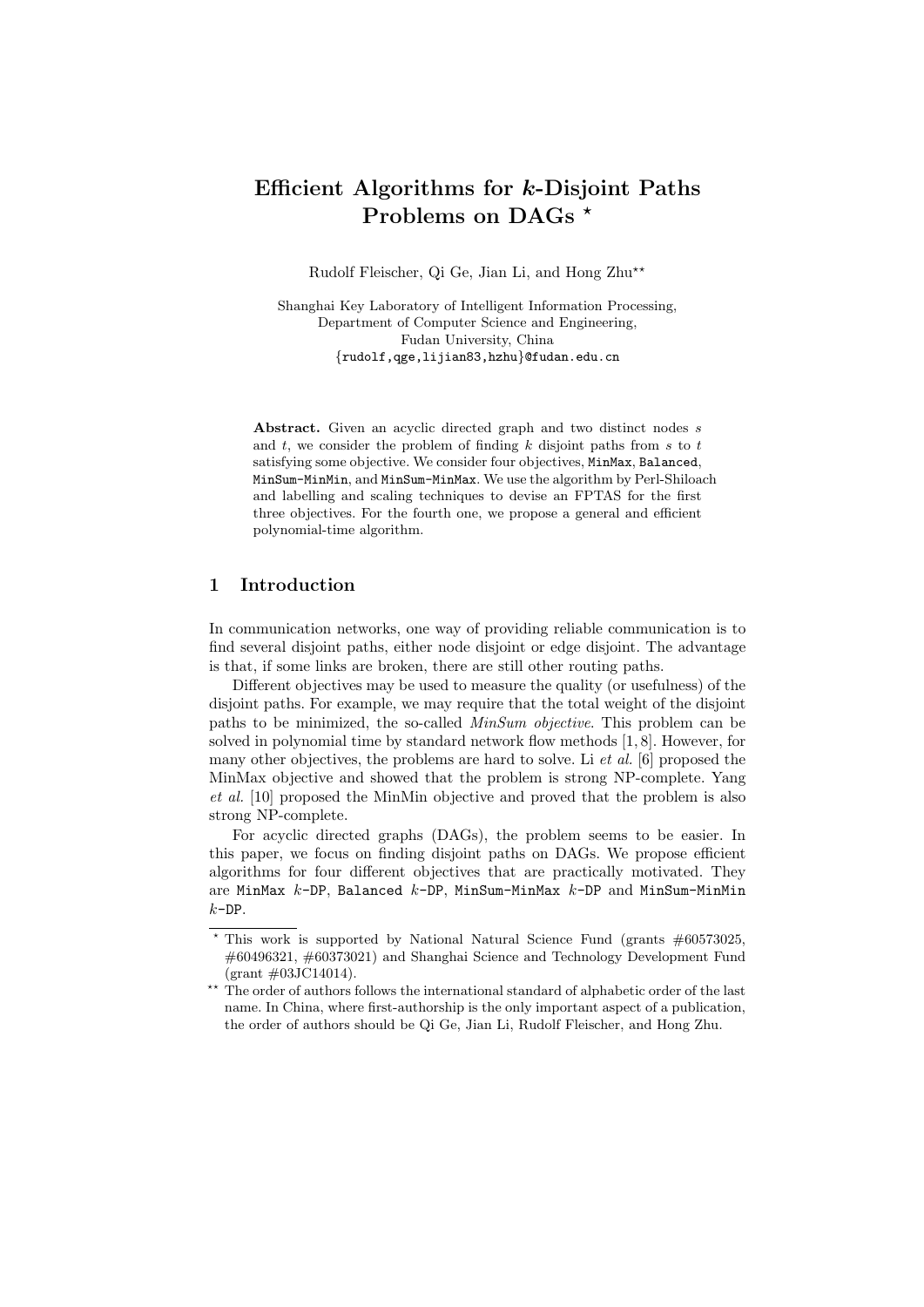# Efficient Algorithms for k-Disjoint Paths Problems on DAGs<sup>\*</sup>

Rudolf Fleischer, Qi Ge, Jian Li, and Hong Zhu\*\*

Shanghai Key Laboratory of Intelligent Information Processing, Department of Computer Science and Engineering, Fudan University, China {rudolf,qge,lijian83,hzhu}@fudan.edu.cn

Abstract. Given an acyclic directed graph and two distinct nodes s and  $t$ , we consider the problem of finding  $k$  disjoint paths from  $s$  to  $t$ satisfying some objective. We consider four objectives, MinMax, Balanced, MinSum-MinMin, and MinSum-MinMax. We use the algorithm by Perl-Shiloach and labelling and scaling techniques to devise an FPTAS for the first three objectives. For the fourth one, we propose a general and efficient polynomial-time algorithm.

# 1 Introduction

In communication networks, one way of providing reliable communication is to find several disjoint paths, either node disjoint or edge disjoint. The advantage is that, if some links are broken, there are still other routing paths.

Different objectives may be used to measure the quality (or usefulness) of the disjoint paths. For example, we may require that the total weight of the disjoint paths to be minimized, the so-called MinSum objective. This problem can be solved in polynomial time by standard network flow methods [1, 8]. However, for many other objectives, the problems are hard to solve. Li et al. [6] proposed the MinMax objective and showed that the problem is strong NP-complete. Yang et al. [10] proposed the MinMin objective and proved that the problem is also strong NP-complete.

For acyclic directed graphs (DAGs), the problem seems to be easier. In this paper, we focus on finding disjoint paths on DAGs. We propose efficient algorithms for four different objectives that are practically motivated. They are MinMax  $k$ -DP, Balanced  $k$ -DP, MinSum-MinMax  $k$ -DP and MinSum-MinMin  $k$ -DP.

This work is supported by National Natural Science Fund (grants  $\#60573025$ , #60496321, #60373021) and Shanghai Science and Technology Development Fund (grant #03JC14014).

<sup>\*\*</sup> The order of authors follows the international standard of alphabetic order of the last name. In China, where first-authorship is the only important aspect of a publication, the order of authors should be Qi Ge, Jian Li, Rudolf Fleischer, and Hong Zhu.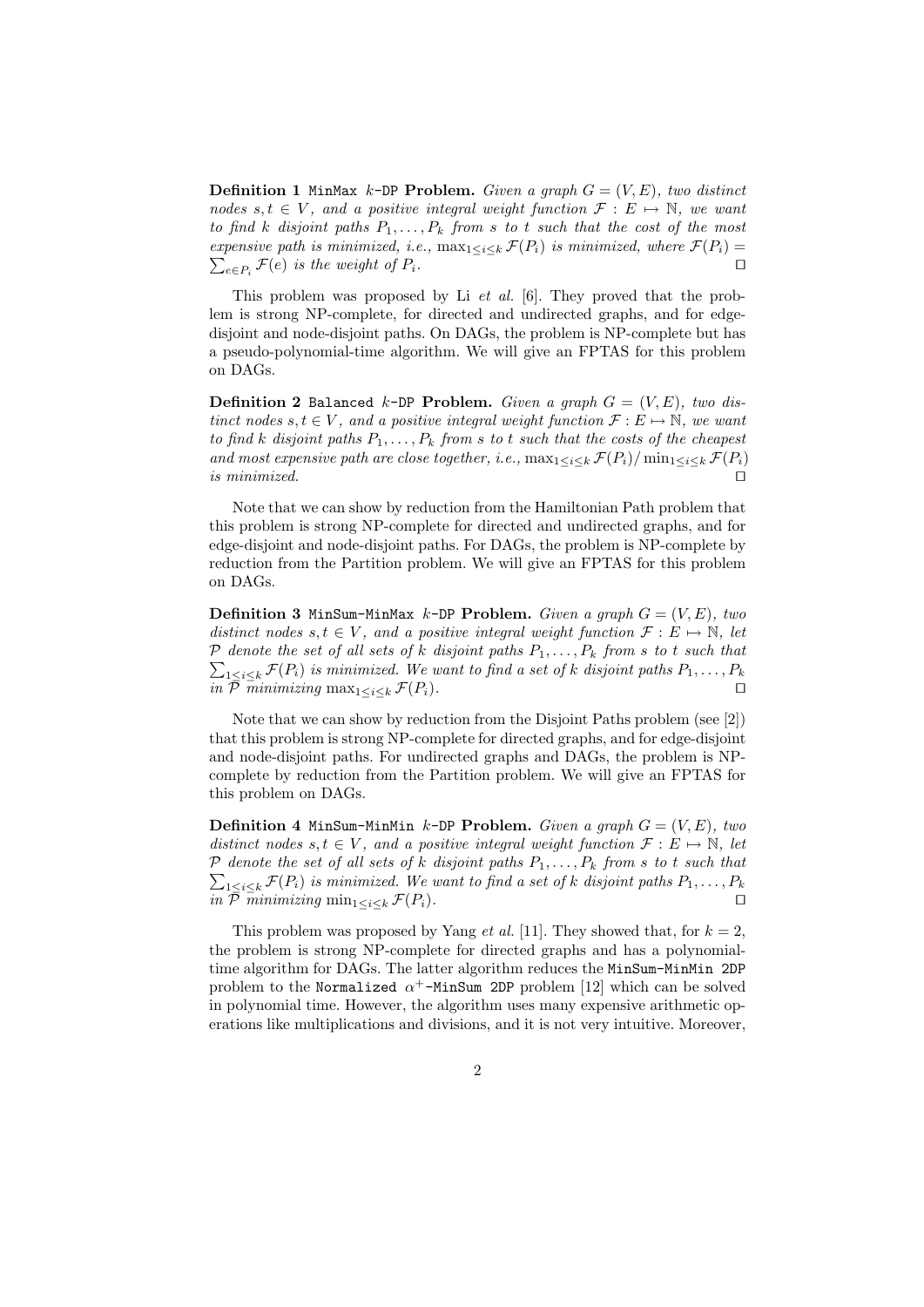**Definition 1** MinMax k-DP Problem. Given a graph  $G = (V, E)$ , two distinct nodes  $s, t \in V$ , and a positive integral weight function  $\mathcal{F}: E \mapsto \mathbb{N}$ , we want to find k disjoint paths  $P_1, \ldots, P_k$  from s to t such that the cost of the most expensive path is minimized, i.e.,  $\max_{1 \leq i \leq k} \mathcal{F}(P_i)$  is minimized, where  $\mathcal{F}(P_i) =$  $e \in P_i$  F(e) is the weight of  $P_i$ .

This problem was proposed by Li et al. [6]. They proved that the problem is strong NP-complete, for directed and undirected graphs, and for edgedisjoint and node-disjoint paths. On DAGs, the problem is NP-complete but has a pseudo-polynomial-time algorithm. We will give an FPTAS for this problem on DAGs.

**Definition 2 Balanced k-DP Problem.** Given a graph  $G = (V, E)$ , two distinct nodes  $s, t \in V$ , and a positive integral weight function  $\mathcal{F}: E \mapsto \mathbb{N}$ , we want to find k disjoint paths  $P_1, \ldots, P_k$  from s to t such that the costs of the cheapest and most expensive path are close together, i.e.,  $\max_{1 \leq i \leq k} \mathcal{F}(P_i) / \min_{1 \leq i \leq k} \mathcal{F}(P_i)$ is minimized.  $\Box$ 

Note that we can show by reduction from the Hamiltonian Path problem that this problem is strong NP-complete for directed and undirected graphs, and for edge-disjoint and node-disjoint paths. For DAGs, the problem is NP-complete by reduction from the Partition problem. We will give an FPTAS for this problem on DAGs.

**Definition 3 MinSum-MinMax k-DP Problem.** Given a graph  $G = (V, E)$ , two distinct nodes  $s, t \in V$ , and a positive integral weight function  $\mathcal{F}: E \mapsto \mathbb{N}$ , let  $P$  denote the set of all sets of k disjoint paths  $P_1, \ldots, P_k$  from s to t such that  $_{1\leq i\leq k}\mathcal{F}(P_i)$  is minimized. We want to find a set of k disjoint paths  $P_1,\ldots,P_k$ in  $\overline{\mathcal{P}}$   $\overline{minimizing}$   $\max_{1 \leq i \leq k} \mathcal{F}(P_i)$ .

Note that we can show by reduction from the Disjoint Paths problem (see [2]) that this problem is strong NP-complete for directed graphs, and for edge-disjoint and node-disjoint paths. For undirected graphs and DAGs, the problem is NPcomplete by reduction from the Partition problem. We will give an FPTAS for this problem on DAGs.

**Definition 4 MinSum-MinMin k-DP Problem.** Given a graph  $G = (V, E)$ , two distinct nodes  $s, t \in V$ , and a positive integral weight function  $\mathcal{F}: E \mapsto \mathbb{N}$ , let  $P$  denote the set of all sets of k disjoint paths  $P_1, \ldots, P_k$  from s to t such that  $_{1\leq i\leq k}\mathcal{F}(P_i)$  is minimized. We want to find a set of k disjoint paths  $P_1,\ldots,P_k$ in  $\bar{\mathcal{P}}$  minimizing  $\min_{1 \leq i \leq k} \mathcal{F}(P_i)$ .

This problem was proposed by Yang *et al.* [11]. They showed that, for  $k = 2$ , the problem is strong NP-complete for directed graphs and has a polynomialtime algorithm for DAGs. The latter algorithm reduces the MinSum-MinMin 2DP problem to the Normalized  $\alpha^+$ -MinSum 2DP problem [12] which can be solved in polynomial time. However, the algorithm uses many expensive arithmetic operations like multiplications and divisions, and it is not very intuitive. Moreover,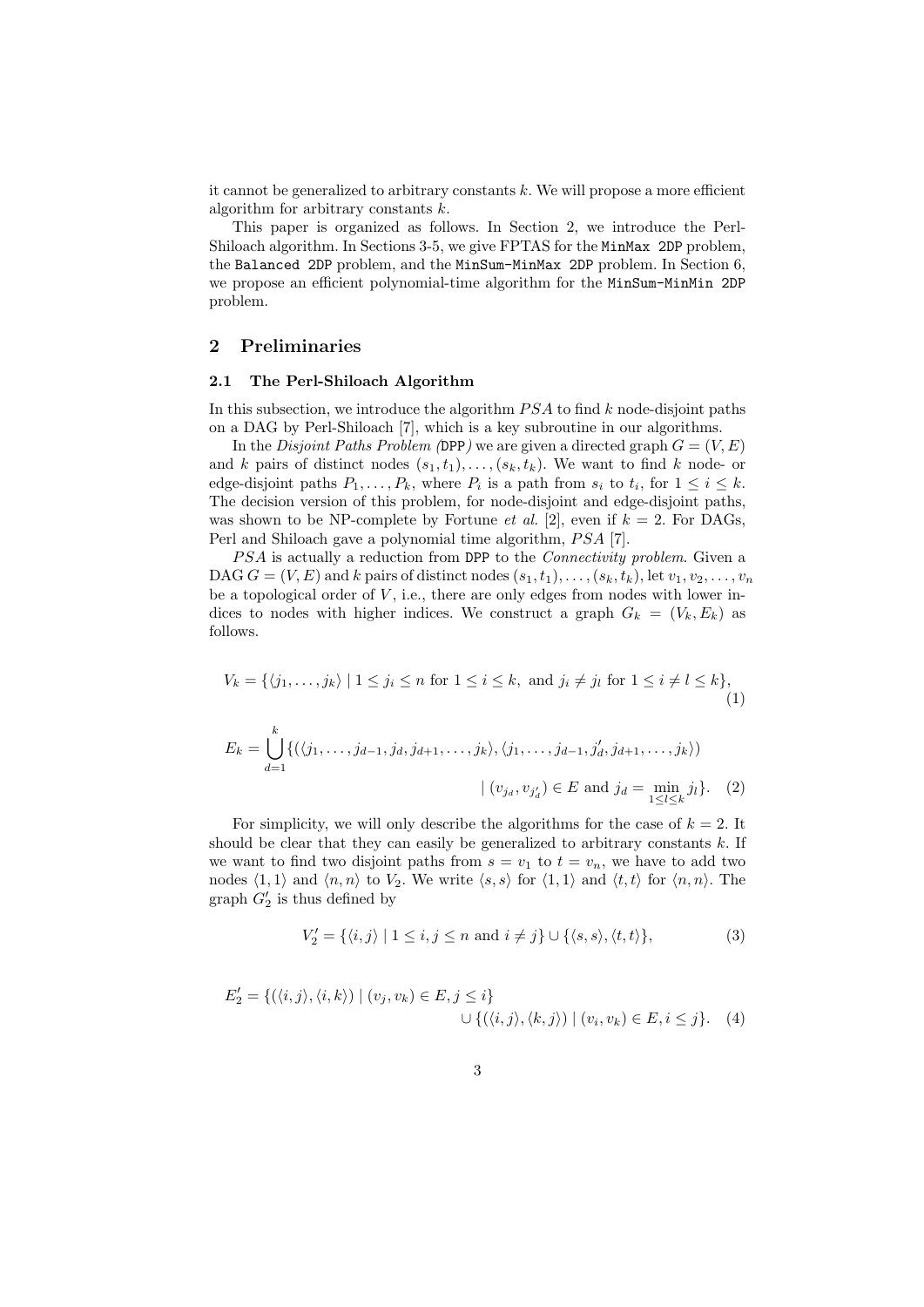it cannot be generalized to arbitrary constants  $k$ . We will propose a more efficient algorithm for arbitrary constants  $k$ .

This paper is organized as follows. In Section 2, we introduce the Perl-Shiloach algorithm. In Sections 3-5, we give FPTAS for the MinMax 2DP problem, the Balanced 2DP problem, and the MinSum-MinMax 2DP problem. In Section 6, we propose an efficient polynomial-time algorithm for the MinSum-MinMin 2DP problem.

### 2 Preliminaries

#### 2.1 The Perl-Shiloach Algorithm

In this subsection, we introduce the algorithm  $PSA$  to find k node-disjoint paths on a DAG by Perl-Shiloach [7], which is a key subroutine in our algorithms.

In the *Disjoint Paths Problem* (DPP) we are given a directed graph  $G = (V, E)$ and k pairs of distinct nodes  $(s_1, t_1), \ldots, (s_k, t_k)$ . We want to find k node- or edge-disjoint paths  $P_1, \ldots, P_k$ , where  $P_i$  is a path from  $s_i$  to  $t_i$ , for  $1 \leq i \leq k$ . The decision version of this problem, for node-disjoint and edge-disjoint paths, was shown to be NP-complete by Fortune *et al.* [2], even if  $k = 2$ . For DAGs, Perl and Shiloach gave a polynomial time algorithm, *PSA* [7].

PSA is actually a reduction from DPP to the *Connectivity problem*. Given a DAG  $G = (V, E)$  and k pairs of distinct nodes  $(s_1, t_1), \ldots, (s_k, t_k)$ , let  $v_1, v_2, \ldots, v_n$ be a topological order of  $V$ , i.e., there are only edges from nodes with lower indices to nodes with higher indices. We construct a graph  $G_k = (V_k, E_k)$  as follows.

$$
V_k = \{ \langle j_1, \dots, j_k \rangle \mid 1 \le j_i \le n \text{ for } 1 \le i \le k, \text{ and } j_i \ne j_l \text{ for } 1 \le i \ne l \le k \},
$$
  
(1)  

$$
E_k = \bigcup_{d=1}^k \{ (\langle j_1, \dots, j_{d-1}, j_d, j_{d+1}, \dots, j_k \rangle, \langle j_1, \dots, j_{d-1}, j'_d, j_{d+1}, \dots, j_k \rangle) \mid (v_{j_d}, v_{j'_d}) \in E \text{ and } j_d = \min_{1 \le l \le k} j_l \}. \quad (2)
$$

For simplicity, we will only describe the algorithms for the case of  $k = 2$ . It should be clear that they can easily be generalized to arbitrary constants  $k$ . If we want to find two disjoint paths from  $s = v_1$  to  $t = v_n$ , we have to add two nodes  $\langle 1, 1 \rangle$  and  $\langle n, n \rangle$  to  $V_2$ . We write  $\langle s, s \rangle$  for  $\langle 1, 1 \rangle$  and  $\langle t, t \rangle$  for  $\langle n, n \rangle$ . The graph  $G_2'$  is thus defined by

$$
V_2' = \{ \langle i, j \rangle \mid 1 \le i, j \le n \text{ and } i \ne j \} \cup \{ \langle s, s \rangle, \langle t, t \rangle \},\tag{3}
$$

$$
E'_2 = \{ (\langle i, j \rangle, \langle i, k \rangle) \mid (v_j, v_k) \in E, j \leq i \}
$$
  

$$
\cup \{ (\langle i, j \rangle, \langle k, j \rangle) \mid (v_i, v_k) \in E, i \leq j \}.
$$
 (4)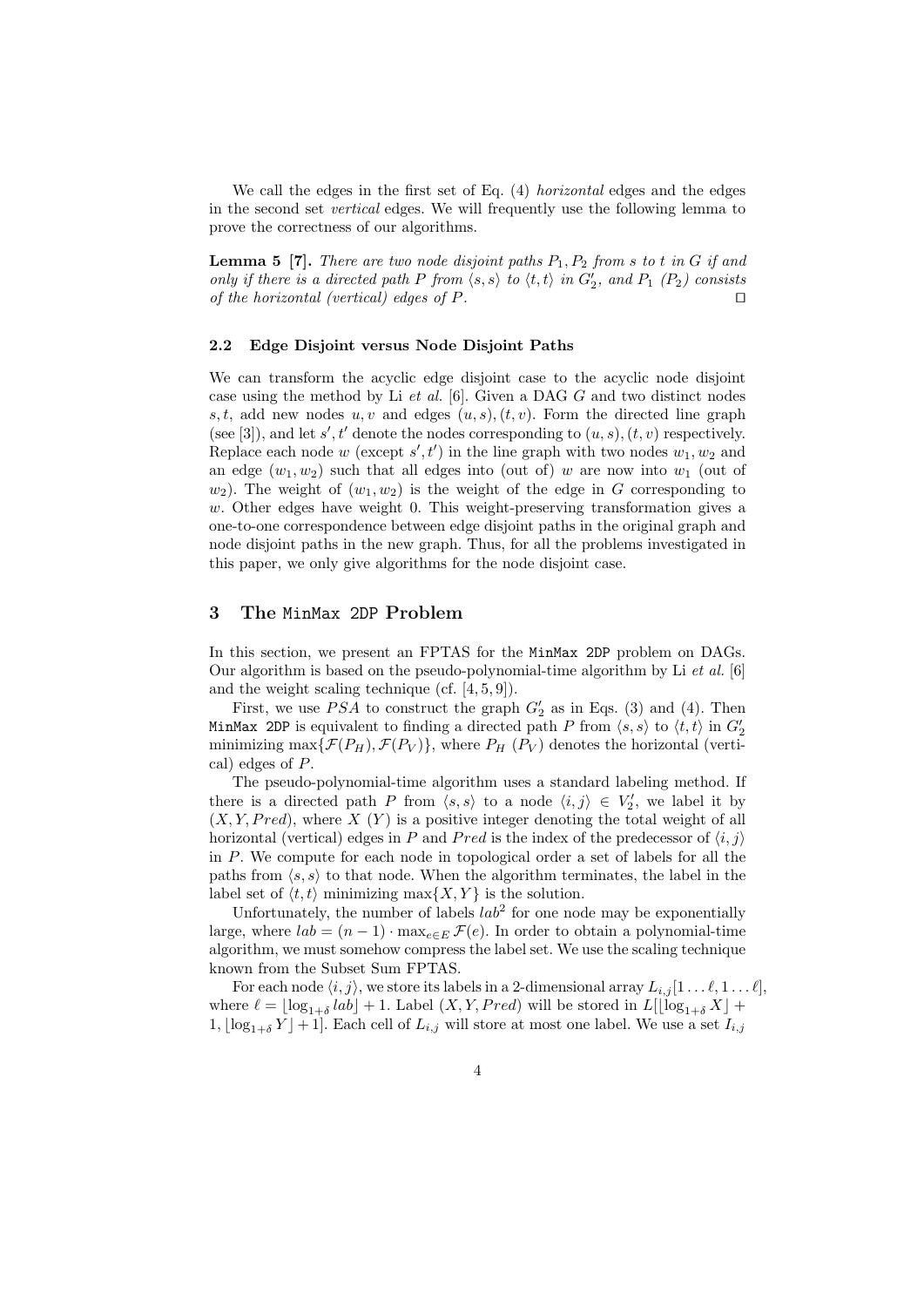We call the edges in the first set of Eq.  $(4)$  horizontal edges and the edges in the second set vertical edges. We will frequently use the following lemma to prove the correctness of our algorithms.

**Lemma 5** [7]. There are two node disjoint paths  $P_1, P_2$  from s to t in G if and only if there is a directed path P from  $\langle s, s \rangle$  to  $\langle t, t \rangle$  in  $G_2'$ , and  $P_1$   $(P_2)$  consists of the horizontal (vertical) edges of  $P$ .

#### 2.2 Edge Disjoint versus Node Disjoint Paths

We can transform the acyclic edge disjoint case to the acyclic node disjoint case using the method by Li et al. [6]. Given a DAG G and two distinct nodes s, t, add new nodes  $u, v$  and edges  $(u, s), (t, v)$ . Form the directed line graph (see [3]), and let s', t' denote the nodes corresponding to  $(u, s)$ ,  $(t, v)$  respectively. Replace each node w (except  $s', t'$ ) in the line graph with two nodes  $w_1, w_2$  and an edge  $(w_1, w_2)$  such that all edges into (out of) w are now into  $w_1$  (out of  $w_2$ ). The weight of  $(w_1, w_2)$  is the weight of the edge in G corresponding to w. Other edges have weight 0. This weight-preserving transformation gives a one-to-one correspondence between edge disjoint paths in the original graph and node disjoint paths in the new graph. Thus, for all the problems investigated in this paper, we only give algorithms for the node disjoint case.

## 3 The MinMax 2DP Problem

In this section, we present an FPTAS for the MinMax 2DP problem on DAGs. Our algorithm is based on the pseudo-polynomial-time algorithm by Li et al. [6] and the weight scaling technique (cf. [4, 5, 9]).

First, we use  $PSA$  to construct the graph  $G_2'$  as in Eqs. (3) and (4). Then MinMax 2DP is equivalent to finding a directed path P from  $\langle s, s \rangle$  to  $\langle t, t \rangle$  in  $G_2'$ minimizing max $\{\mathcal{F}(P_H), \mathcal{F}(P_V)\}\$ , where  $P_H(P_V)$  denotes the horizontal (vertical) edges of P.

The pseudo-polynomial-time algorithm uses a standard labeling method. If there is a directed path P from  $\langle s, s \rangle$  to a node  $\langle i, j \rangle \in V'_2$ , we label it by  $(X, Y, Pred)$ , where  $X(Y)$  is a positive integer denoting the total weight of all horizontal (vertical) edges in P and Pred is the index of the predecessor of  $\langle i, j \rangle$ in P. We compute for each node in topological order a set of labels for all the paths from  $\langle s, s \rangle$  to that node. When the algorithm terminates, the label in the label set of  $\langle t, t \rangle$  minimizing max $\{X, Y\}$  is the solution.

Unfortunately, the number of labels  $lab<sup>2</sup>$  for one node may be exponentially large, where  $lab = (n-1) \cdot \max_{e \in E} \mathcal{F}(e)$ . In order to obtain a polynomial-time algorithm, we must somehow compress the label set. We use the scaling technique known from the Subset Sum FPTAS.

For each node  $\langle i, j \rangle$ , we store its labels in a 2-dimensional array  $L_{i,j} [1 \dots \ell, 1 \dots \ell],$ where  $\ell = \lfloor \log_{1+\delta} lab \rfloor + 1$ . Label  $(X, Y, Pred)$  will be stored in  $L[\lfloor \log_{1+\delta} X \rfloor +$  $1, \lfloor \log_{1+\delta} Y \rfloor + 1$ . Each cell of  $L_{i,j}$  will store at most one label. We use a set  $I_{i,j}$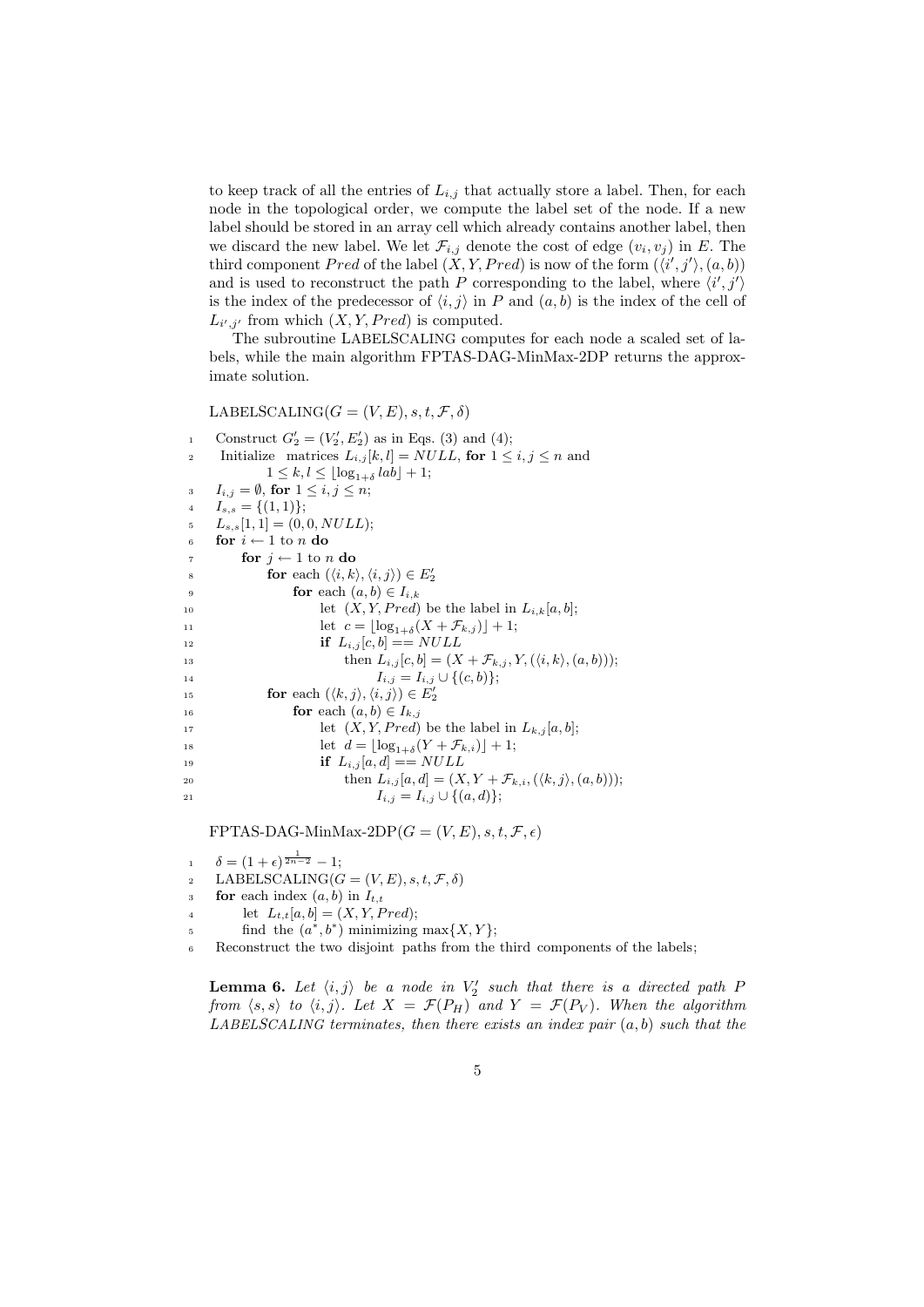to keep track of all the entries of  $L_{i,j}$  that actually store a label. Then, for each node in the topological order, we compute the label set of the node. If a new label should be stored in an array cell which already contains another label, then we discard the new label. We let  $\mathcal{F}_{i,j}$  denote the cost of edge  $(v_i, v_j)$  in E. The third component Pred of the label  $(X, Y, Pred)$  is now of the form  $(\langle i', j' \rangle, (a, b))$ and is used to reconstruct the path P corresponding to the label, where  $\langle i', j' \rangle$ is the index of the predecessor of  $\langle i, j \rangle$  in P and  $(a, b)$  is the index of the cell of  $L_{i',j'}$  from which  $(X, Y, Pred)$  is computed.

The subroutine LABELSCALING computes for each node a scaled set of labels, while the main algorithm FPTAS-DAG-MinMax-2DP returns the approximate solution.

LABELSCALING( $G = (V, E), s, t, \mathcal{F}, \delta$ )

1 Construct  $G'_{2} = (V'_{2}, E'_{2})$  as in Eqs. (3) and (4); 2 Initialize matrices  $L_{i,j}[k, l] = NULL$ , for  $1 \le i, j \le n$  and  $1 \leq k, l \leq \lfloor \log_{1+\delta} lab \rfloor + 1;$ 3  $I_{i,j} = \emptyset$ , for  $1 \leq i, j \leq n$ ; 4  $I_{s,s} = \{(1,1)\};$  $L_{s,s}[1,1] = (0,0, NULL);$ 6 for  $i \leftarrow 1$  to n do 7 for  $j \leftarrow 1$  to n do s **for** each  $(\langle i, k \rangle, \langle i, j \rangle) \in E'_2$ 9 **for** each  $(a, b) \in I_{i,k}$ 10 let  $(X, Y, Pred)$  be the label in  $L_{i,k}[a, b]$ ; 11 let  $c = \lfloor \log_{1+\delta}(X + \mathcal{F}_{k,j}) \rfloor + 1;$ 12 **if**  $L_{i,j}[c, b] = NULL$ 13 then  $L_{i,j}[c, b] = (X + \mathcal{F}_{k,j}, Y, (\langle i, k \rangle, (a, b)));$ 14  $I_{i,j} = I_{i,j} \cup \{(c,b)\};$ 15 **for** each  $(\langle k, j \rangle, \langle i, j \rangle) \in E'_2$ 16 **for** each  $(a, b) \in I_{k,j}$ <sup>17</sup> let  $(X, Y, Pred)$  be the label in  $L_{k,j}[a, b];$ 18 let  $d = \lfloor \log_{1+\delta}(Y + \mathcal{F}_{k,i}) \rfloor + 1;$ 19 **if**  $L_{i,j}[a, d] = NULL$ 20 then  $L_{i,j}[a, d] = (X, Y + \mathcal{F}_{k,i}, (\langle k, j \rangle, (a, b)));$ 21  $I_{i,j} = I_{i,j} \cup \{(a,d)\};$ 

FPTAS-DAG-MinMax-2DP( $G = (V, E), s, t, \mathcal{F}, \epsilon$ )

1  $\delta = (1 + \epsilon)^{\frac{1}{2n-2}} - 1;$ 

2 LABELSCALING( $G = (V, E), s, t, \mathcal{F}, \delta$ )

- 3 **for** each index  $(a, b)$  in  $I_{t,t}$
- 4 let  $L_{t,t}[a, b] = (X, Y, Pred);$
- $\text{find the } (a^*, b^*) \text{ minimizing } \max\{X, Y\};$

<sup>6</sup> Reconstruct the two disjoint paths from the third components of the labels;

**Lemma 6.** Let  $\langle i, j \rangle$  be a node in  $V'_2$  such that there is a directed path F from  $\langle s, s \rangle$  to  $\langle i, j \rangle$ . Let  $X = \mathcal{F}(P_H)$  and  $Y = \mathcal{F}(P_V)$ . When the algorithm LABELSCALING terminates, then there exists an index pair  $(a, b)$  such that the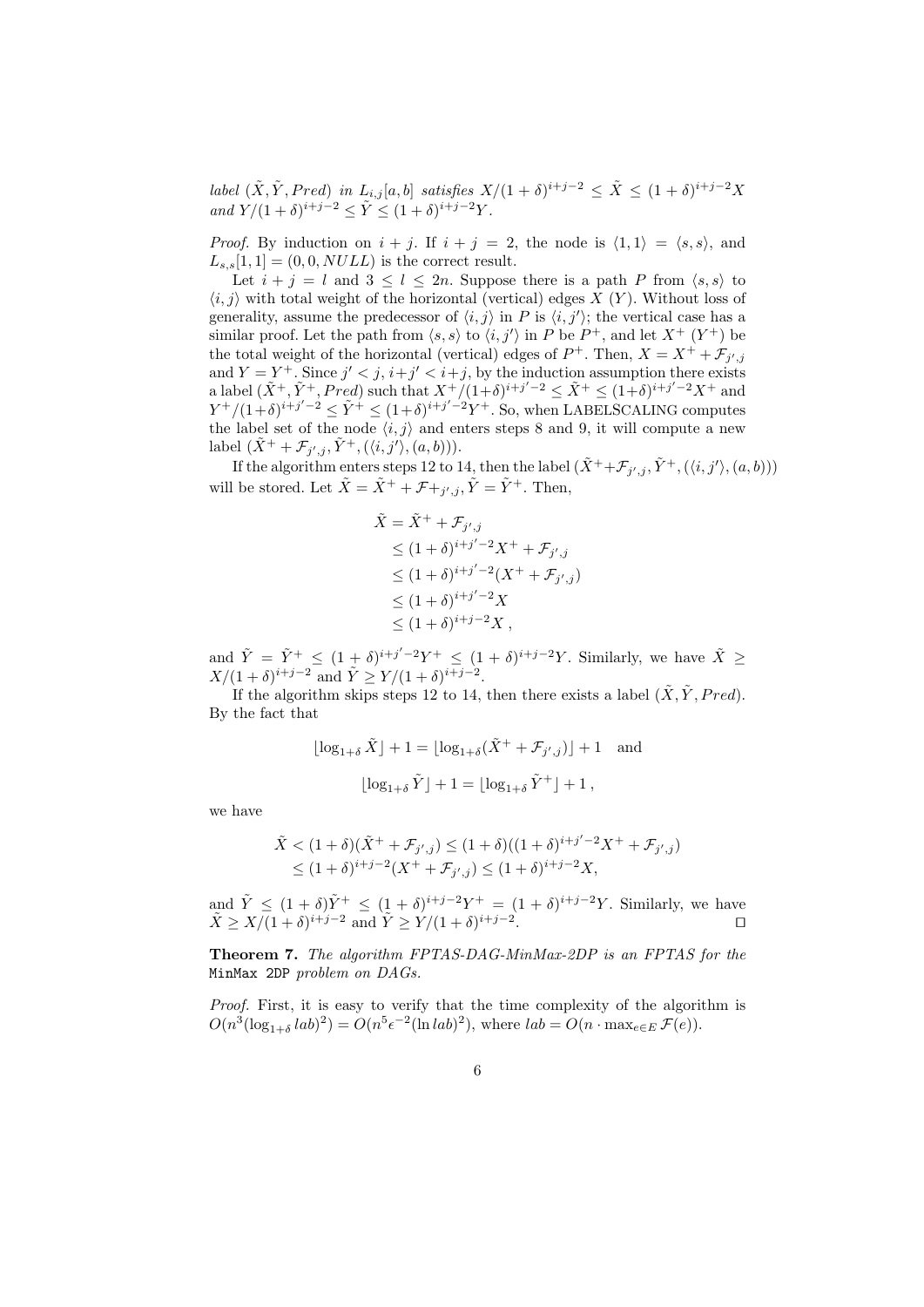label  $(\tilde{X}, \tilde{Y}, Pred)$  in  $L_{i,j}[a, b]$  satisfies  $X/(1 + \delta)^{i+j-2} \leq \tilde{X} \leq (1 + \delta)^{i+j-2}X$ and  $Y/(1+\delta)^{i+j-2} \le \tilde{Y} \le (1+\delta)^{i+j-2}Y$ .

*Proof.* By induction on  $i + j$ . If  $i + j = 2$ , the node is  $\langle 1, 1 \rangle = \langle s, s \rangle$ , and  $L_{s,s}[1,1] = (0,0, NULL)$  is the correct result.

Let  $i + j = l$  and  $3 \leq l \leq 2n$ . Suppose there is a path P from  $\langle s, s \rangle$  to  $\langle i, j \rangle$  with total weight of the horizontal (vertical) edges X (Y). Without loss of generality, assume the predecessor of  $\langle i, j \rangle$  in P is  $\langle i, j' \rangle$ ; the vertical case has a similar proof. Let the path from  $\langle s, s \rangle$  to  $\langle i, j' \rangle$  in P be  $P^+$ , and let  $X^+$   $(Y^+)$  be the total weight of the horizontal (vertical) edges of  $P^+$ . Then,  $X = X^+ + \mathcal{F}_{j',j'}$ and  $Y = Y^+$ . Since  $j' < j$ ,  $i+j' < i+j$ , by the induction assumption there exists a label  $(\tilde{X}^+, \tilde{Y}^+, Pred)$  such that  $X^+/(1+\delta)^{i+j'-2} \leq \tilde{X}^+ \leq (1+\delta)^{i+j'-2}X^+$  and  $Y^+/(1+\delta)^{i+j'-2} \leq \tilde{Y}^+ \leq (1+\delta)^{i+j'-2} Y^+$ . So, when LABELSCALING computes the label set of the node  $\langle i, j \rangle$  and enters steps 8 and 9, it will compute a new label  $(\tilde{X}^+ + \mathcal{F}_{j',j}, \tilde{Y}^+, (\langle i, j' \rangle, (a, b))).$ 

If the algorithm enters steps 12 to 14, then the label  $(\tilde{X}^+ + \mathcal{F}_{j',j}, \tilde{Y}^+, (\langle i, j' \rangle, (a, b)))$ will be stored. Let  $\tilde{X} = \tilde{X}^+ + \mathcal{F} + j, \tilde{Y} = \tilde{Y}^+$ . Then,

$$
\tilde{X} = \tilde{X}^+ + \mathcal{F}_{j',j}
$$
\n
$$
\leq (1+\delta)^{i+j'-2} X^+ + \mathcal{F}_{j',j}
$$
\n
$$
\leq (1+\delta)^{i+j'-2} (X^+ + \mathcal{F}_{j',j})
$$
\n
$$
\leq (1+\delta)^{i+j'-2} X
$$
\n
$$
\leq (1+\delta)^{i+j-2} X,
$$

and  $\tilde{Y} = \tilde{Y}^+ \leq (1+\delta)^{i+j'-2}Y^+ \leq (1+\delta)^{i+j-2}Y$ . Similarly, we have  $\tilde{X} \geq$  $X/(1+\delta)^{i+j-2}$  and  $\tilde{Y} \geq Y/(1+\delta)^{i+j-2}$ .

If the algorithm skips steps 12 to 14, then there exists a label  $(\tilde{X}, \tilde{Y}, Pred)$ . By the fact that

$$
\begin{aligned} \lfloor \log_{1+\delta} \tilde{X} \rfloor + 1 &= \lfloor \log_{1+\delta} (\tilde{X}^+ + \mathcal{F}_{j',j}) \rfloor + 1 \quad \text{and} \\[10pt] \lfloor \log_{1+\delta} \tilde{Y} \rfloor + 1 &= \lfloor \log_{1+\delta} \tilde{Y}^+ \rfloor + 1 \,, \end{aligned}
$$

we have

$$
\tilde{X} < (1+\delta)(\tilde{X}^+ + \mathcal{F}_{j',j}) \le (1+\delta)((1+\delta)^{i+j'-2}X^+ + \mathcal{F}_{j',j})
$$
  
\n
$$
\le (1+\delta)^{i+j-2}(X^+ + \mathcal{F}_{j',j}) \le (1+\delta)^{i+j-2}X,
$$

and  $\tilde{Y} \leq (1+\delta)\tilde{Y}^{+} \leq (1+\delta)^{i+j-2}Y^{+} = (1+\delta)^{i+j-2}Y$ . Similarly, we have  $\tilde{X} \geq X/(1+\delta)^{i+j-2}$  and  $\tilde{Y} \geq Y/(1+\delta)^{i+j-2}$ .

Theorem 7. The algorithm FPTAS-DAG-MinMax-2DP is an FPTAS for the MinMax 2DP problem on DAGs.

Proof. First, it is easy to verify that the time complexity of the algorithm is  $O(n^3(\log_{1+\delta} lab)^2) = O(n^5 \epsilon^{-2} (\ln lab)^2)$ , where  $lab = O(n \cdot \max_{e \in E} \mathcal{F}(e)).$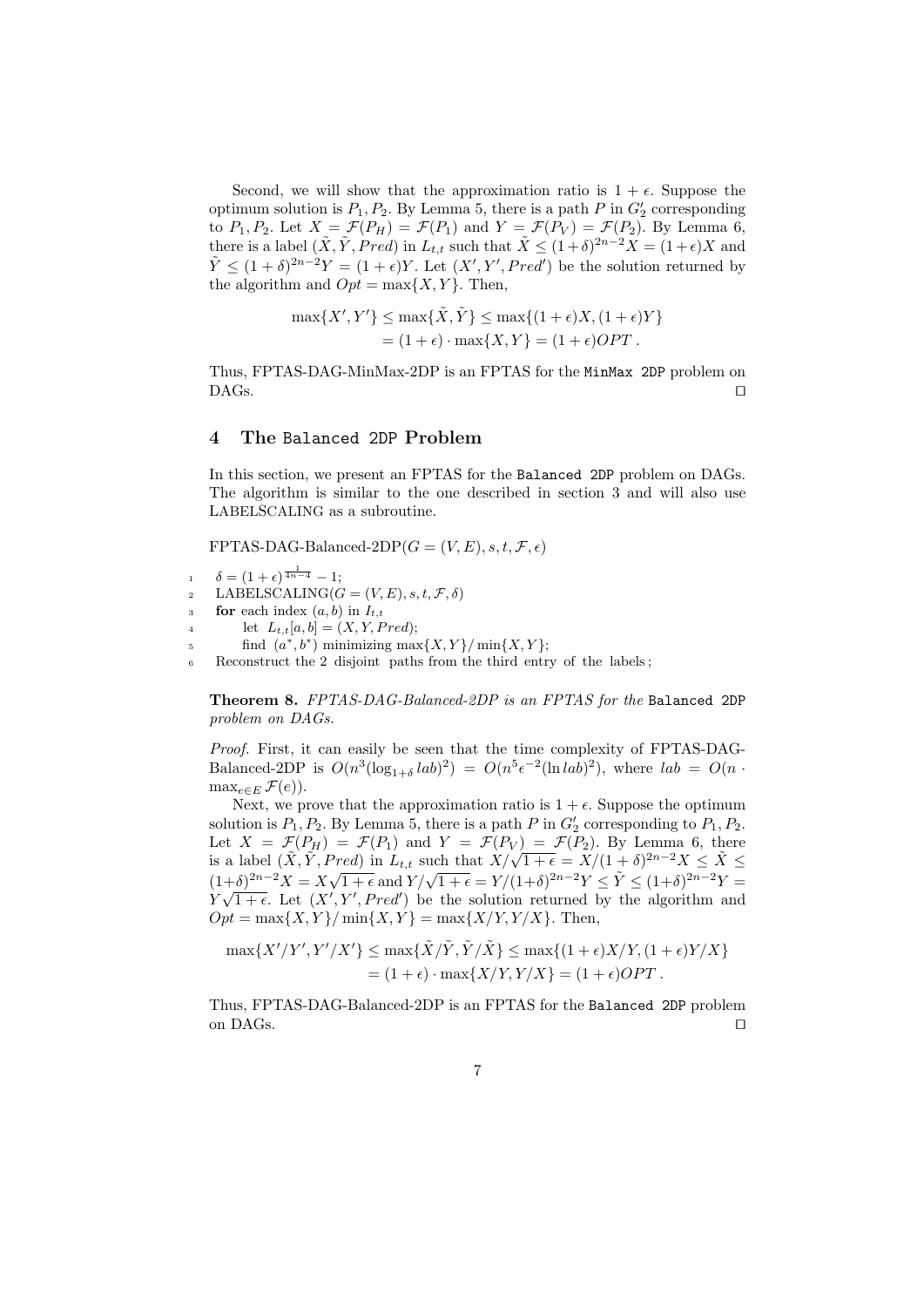Second, we will show that the approximation ratio is  $1 + \epsilon$ . Suppose the optimum solution is  $P_1, P_2$ . By Lemma 5, there is a path  $P$  in  $G'_2$  corresponding to  $P_1, P_2$ . Let  $X = \mathcal{F}(P_H) = \mathcal{F}(P_1)$  and  $Y = \mathcal{F}(P_V) = \mathcal{F}(P_2)$ . By Lemma 6, there is a label  $(\tilde{X}, \tilde{Y}, Pred)$  in  $L_{t,t}$  such that  $\tilde{X} \leq (1+\delta)^{2n-2}X = (1+\epsilon)X$  and  $\tilde{Y} \leq (1+\delta)^{2n-2}Y = (1+\epsilon)Y$ . Let  $(X', Y', Pred')$  be the solution returned by the algorithm and  $Opt = \max\{X, Y\}$ . Then,

$$
\max\{X', Y'\} \le \max\{\tilde{X}, \tilde{Y}\} \le \max\{(1 + \epsilon)X, (1 + \epsilon)Y\}
$$

$$
= (1 + \epsilon) \cdot \max\{X, Y\} = (1 + \epsilon)OPT.
$$

Thus, FPTAS-DAG-MinMax-2DP is an FPTAS for the MinMax 2DP problem on  $\Box$ DAGs.

# 4 The Balanced 2DP Problem

In this section, we present an FPTAS for the Balanced 2DP problem on DAGs. The algorithm is similar to the one described in section 3 and will also use LABELSCALING as a subroutine.

FPTAS-DAG-Balanced-2DP( $G = (V, E), s, t, \mathcal{F}, \epsilon$ )

$$
1 \quad \delta = (1+\epsilon)^{\frac{1}{4n-4}} - 1;
$$

- 2 LABELSCALING( $G = (V, E), s, t, \mathcal{F}, \delta$ )
- 3 **for** each index  $(a, b)$  in  $I_{t,t}$
- 4 let  $L_{t,t}[a, b] = (X, Y, Pred);$
- $\text{find } (a^*, b^*) \text{ minimizing } \max\{X, Y\} / \min\{X, Y\};$
- <sup>6</sup> Reconstruct the 2 disjoint paths from the third entry of the labels ;

Theorem 8. FPTAS-DAG-Balanced-2DP is an FPTAS for the Balanced 2DP problem on DAGs.

Proof. First, it can easily be seen that the time complexity of FPTAS-DAG-Balanced-2DP is  $O(n^3(\log_{1+\delta} lab)^2) = O(n^5 \epsilon^{-2} (\ln lab)^2)$ , where  $lab = O(n \cdot \epsilon^{-2})$  $\max_{e \in E} \mathcal{F}(e)$ .

Next, we prove that the approximation ratio is  $1 + \epsilon$ . Suppose the optimum solution is  $P_1, P_2$ . By Lemma 5, there is a path P in  $G'_2$  corresponding to  $P_1, P_2$ . Let  $X = \mathcal{F}(P_H) = \mathcal{F}(P_1)$  and  $Y = \mathcal{F}(P_V) = \mathcal{F}(P_2)$ . By Lemma 6, there Let  $X = \mathcal{F}(P_H) = \mathcal{F}(P_1)$  and  $Y = \mathcal{F}(P_V) = \mathcal{F}(P_2)$ . By Lemma 6, there<br>is a label  $(\tilde{X}, \tilde{Y}, Pred)$  in  $L_{t,t}$  such that  $X/\sqrt{1+\epsilon} = X/(1+\delta)^{2n-2}X \le \tilde{X} \le$ So a label  $(X, T, T \neq y)$  in  $L_{t,t}$  such that  $X/\sqrt{1 + \epsilon} = X/(1 + \delta)$   $X \leq X \leq$ <br>  $(1+\delta)^{2n-2}X = X\sqrt{1 + \epsilon}$  and  $Y/\sqrt{1 + \epsilon} = Y/(1+\delta)^{2n-2}Y \leq \tilde{Y} \leq (1+\delta)^{2n-2}Y =$  $Y\sqrt{1+\epsilon}$ . Let  $(X', Y', Pred')$  be the solution returned by the algorithm and  $Opt = \max\{X, Y\} / \min\{X, Y\} = \max\{X/Y, Y/X\}.$  Then,

$$
\max\{X'/Y', Y'/X'\} \le \max\{\tilde{X}/\tilde{Y}, \tilde{Y}/\tilde{X}\} \le \max\{(1+\epsilon)X/Y, (1+\epsilon)Y/X\}
$$
  
=  $(1+\epsilon) \cdot \max\{X/Y, Y/X\} = (1+\epsilon)OPT$ .

Thus, FPTAS-DAG-Balanced-2DP is an FPTAS for the Balanced 2DP problem on DAGs.  $\Box$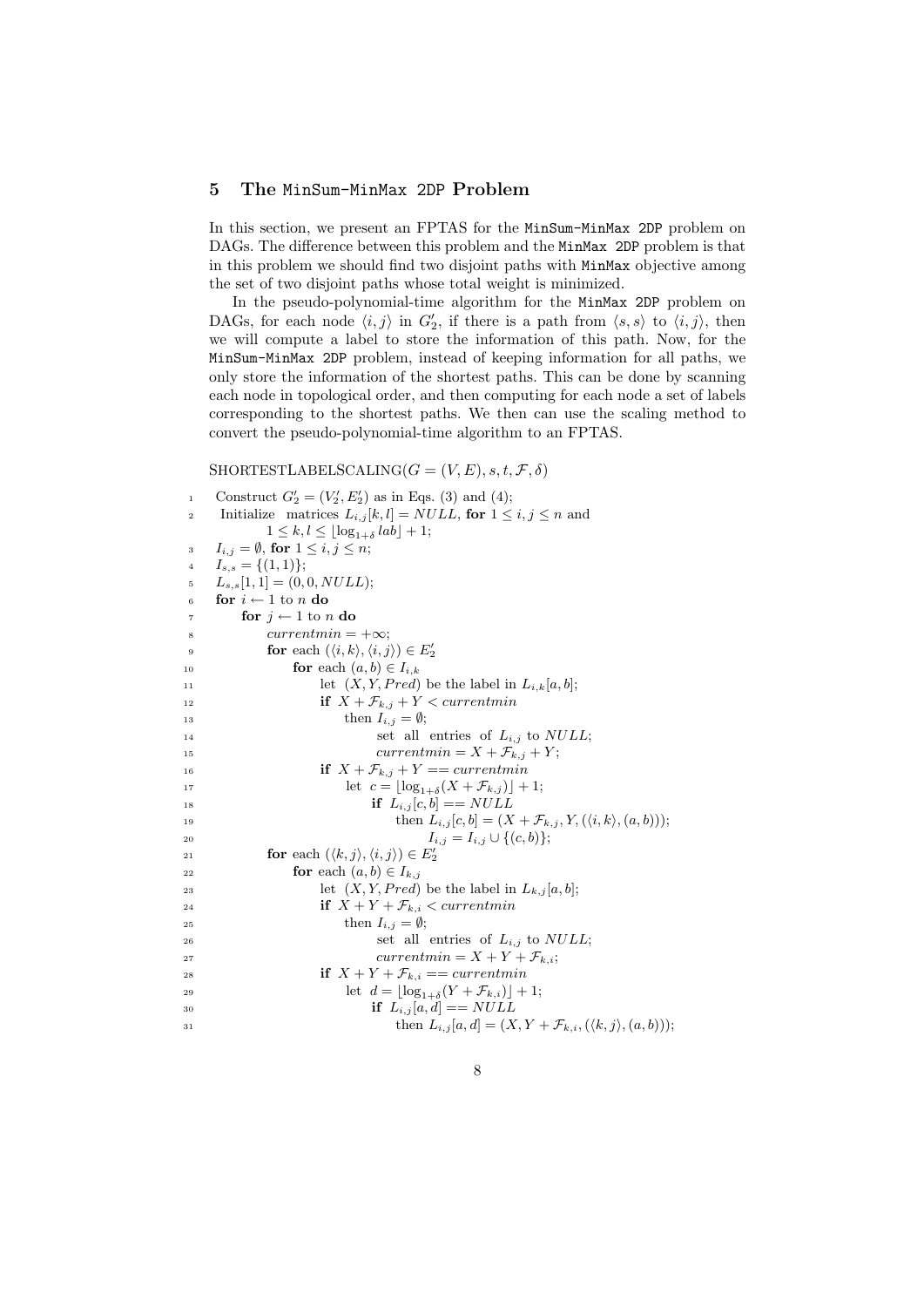## 5 The MinSum-MinMax 2DP Problem

In this section, we present an FPTAS for the MinSum-MinMax 2DP problem on DAGs. The difference between this problem and the MinMax 2DP problem is that in this problem we should find two disjoint paths with MinMax objective among the set of two disjoint paths whose total weight is minimized.

In the pseudo-polynomial-time algorithm for the MinMax 2DP problem on DAGs, for each node  $\langle i, j \rangle$  in  $G'_2$ , if there is a path from  $\langle s, s \rangle$  to  $\langle i, j \rangle$ , then we will compute a label to store the information of this path. Now, for the MinSum-MinMax 2DP problem, instead of keeping information for all paths, we only store the information of the shortest paths. This can be done by scanning each node in topological order, and then computing for each node a set of labels corresponding to the shortest paths. We then can use the scaling method to convert the pseudo-polynomial-time algorithm to an FPTAS.

 $SHORTESTLABELSCALING(G = (V, E), s, t, \mathcal{F}, \delta)$ 

```
1 Construct G'_{2} = (V'_{2}, E'_{2}) as in Eqs. (3) and (4);
2 Initialize matrices L_{i,j}[k,l] = NULL, for 1 \le i, j \le n and
            1 \leq k, l \leq \lfloor \log_{1+\delta} lab \rfloor + 1;1_{i,j} = \emptyset, for 1 \leq i,j \leq n;
4 I_{s,s} = \{(1,1)\};L_{s,s}[1,1] = (0,0, NULL);6 for i \leftarrow 1 to n do
7 for j \leftarrow 1 to n do
\text{sup} x = +\infty;9 for each (\langle i, k \rangle, \langle i, j \rangle) \in E'_210 for each (a, b) \in I_{i,k}11 let (X, Y, Pred) be the label in L_{i,k}[a, b];12 if X + \mathcal{F}_{k,j} + Y < currentmin13 then I_{i,j} = \emptyset;14 set all entries of L_{i,j} to NULL;<sup>15</sup> currentmin = X + \mathcal{F}_{k,j} + Y;16 if X + \mathcal{F}_{k,j} + Y = currentmin17 let c = \lfloor \log_{1+\delta}(X + \mathcal{F}_{k,j}) \rfloor + 1;18 if L_{i,j}[c, b] = = NULL19 then L_{i,j}[c, b] = (X + \mathcal{F}_{k,j}, Y, (\langle i, k \rangle, (a, b)));20 I_{i,j} = I_{i,j} \cup \{(c,b)\};21 for each (\langle k, j \rangle, \langle i, j \rangle) \in E'_222 for each (a, b) \in I_{k,j}23 let (X, Y, Pred) be the label in L_{k,j}[a, b];24 if X + Y + \mathcal{F}_{k,i} < currentmin25 then I_{i,j} = \emptyset;26 set all entries of L_{i,j} to NULL;27 currentmin = X + Y + \mathcal{F}_{k,i};
28 if X + Y + \mathcal{F}_{k,i} == currentmin29 let d = \lfloor \log_{1+\delta}(Y + \mathcal{F}_{k,i}) \rfloor + 1;30 if L_{i,j}[a, d] = NULL31 then L_{i,j}[a, d] = (X, Y + \mathcal{F}_{k,i}, (\langle k, j \rangle, (a, b)));
```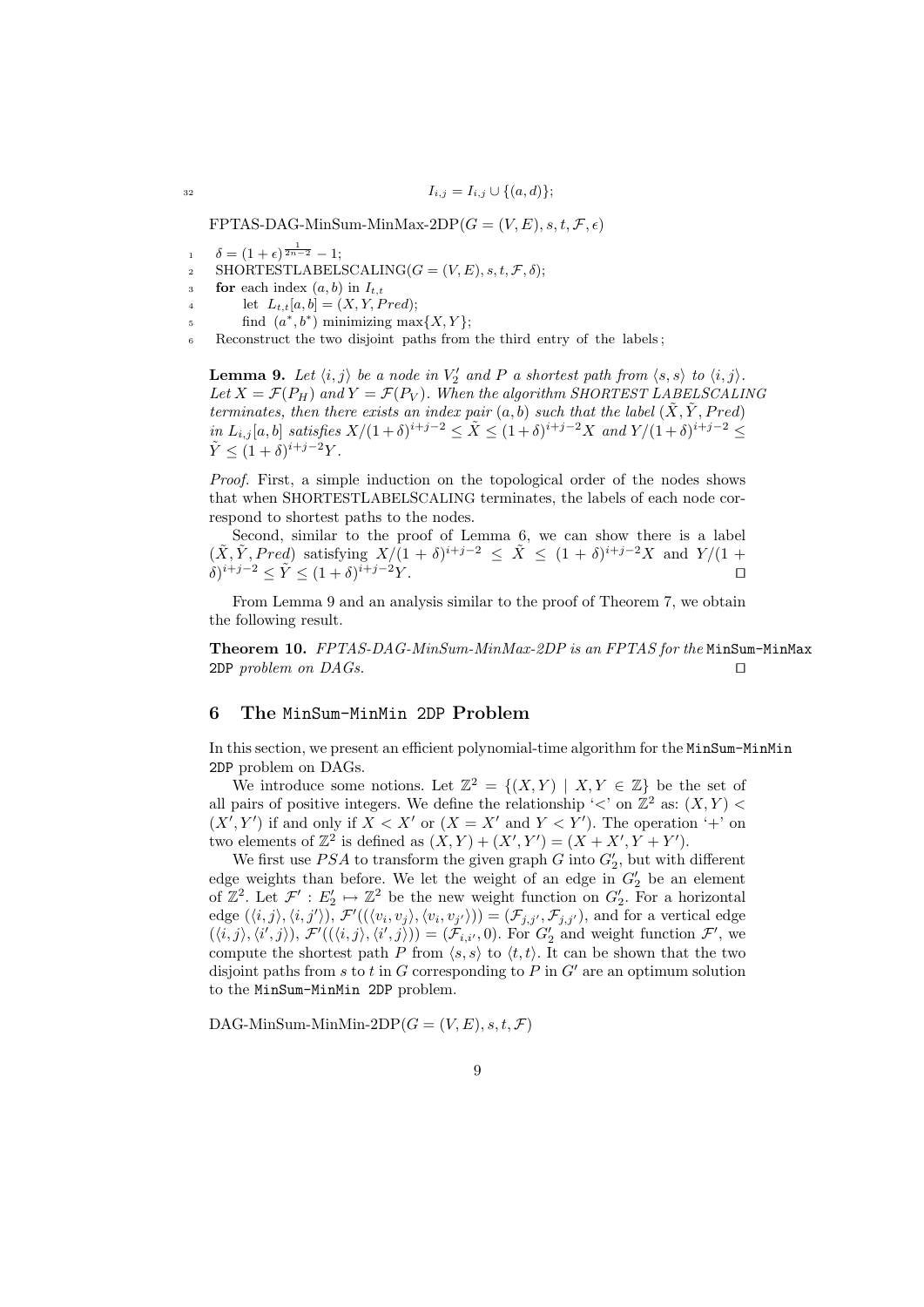$$
I_{i,j} = I_{i,j} \cup \{(a,d)\};
$$

FPTAS-DAG-MinSum-MinMax-2DP( $G = (V, E), s, t, \mathcal{F}, \epsilon$ )

- 1  $\delta = (1 + \epsilon)^{\frac{1}{2n-2}} 1;$
- 2 SHORTESTLABELSCALING( $G = (V, E), s, t, \mathcal{F}, \delta$ );
- 3 **for** each index  $(a, b)$  in  $I_{t,t}$
- 4 let  $L_{t,t}[a, b] = (X, Y, Pred);$
- $\text{find } (a^*, b^*) \text{ minimizing } \max\{X, Y\};$
- <sup>6</sup> Reconstruct the two disjoint paths from the third entry of the labels ;

**Lemma 9.** Let  $\langle i, j \rangle$  be a node in  $V'_2$  and P a shortest path from  $\langle s, s \rangle$  to  $\langle i, j \rangle$ . Let  $X = \mathcal{F}(P_H)$  and  $Y = \mathcal{F}(P_V)$ . When the algorithm SHORTEST LABELSCALING terminates, then there exists an index pair  $(a, b)$  such that the label  $(X, Y, Pred)$ in  $L_{i,j}[a,b]$  satisfies  $X/(1+\delta)^{i+j-2} \leq \tilde{X} \leq (1+\delta)^{i+j-2}X$  and  $Y/(1+\delta)^{i+j-2} \leq$  $\tilde{Y} \leq (1+\delta)^{i+j-2}Y.$ 

Proof. First, a simple induction on the topological order of the nodes shows that when SHORTESTLABELSCALING terminates, the labels of each node correspond to shortest paths to the nodes.

Second, similar to the proof of Lemma 6, we can show there is a label  $(\tilde{X}, \tilde{Y}, Pred)$  satisfying  $X/(1 + \delta)^{i+j-2} \leq \tilde{X} \leq (1 + \delta)^{i+j-2}X$  and  $Y/(1 +$  $(\delta)^{i+j-2} \leq \tilde{Y} \leq (1+\delta)^{\tilde{i}+j-2}Y.$ 

From Lemma 9 and an analysis similar to the proof of Theorem 7, we obtain the following result.

Theorem 10. FPTAS-DAG-MinSum-MinMax-2DP is an FPTAS for the MinSum-MinMax  $2DP$  problem on  $DAGs$ .

## 6 The MinSum-MinMin 2DP Problem

In this section, we present an efficient polynomial-time algorithm for the MinSum-MinMin 2DP problem on DAGs.

We introduce some notions. Let  $\mathbb{Z}^2 = \{(X,Y) | X,Y \in \mathbb{Z}\}\)$  be the set of all pairs of positive integers. We define the relationship ' $\lt'$ ' on  $\mathbb{Z}^2$  as:  $(X, Y)$  $(X', Y')$  if and only if  $X < X'$  or  $(X = X'$  and  $Y < Y'$ ). The operation '+' on two elements of  $\mathbb{Z}^2$  is defined as  $(X, Y) + (X', Y') = (X + X', Y + Y')$ .

We first use  $PSA$  to transform the given graph G into  $G'_{2}$ , but with different edge weights than before. We let the weight of an edge in  $G_2'$  be an element of  $\mathbb{Z}^2$ . Let  $\mathcal{F}' : E'_2 \mapsto \mathbb{Z}^2$  be the new weight function on  $G'_2$ . For a horizontal edge  $(\langle i, j \rangle, \langle i, j' \rangle), \mathcal{F}'((\langle v_i, v_j \rangle, \langle v_i, v_{j'} \rangle)) = (\mathcal{F}_{j,j'}, \mathcal{F}_{j,j'})$ , and for a vertical edge  $(\langle i,j\rangle,\langle i',j\rangle),\,\mathcal{F}'((\langle i,j\rangle,\langle i',j\rangle))=(\mathcal{F}_{i,i'},0).$  For  $G'_2$  and weight function  $\mathcal{F}',$  we compute the shortest path P from  $\langle s, s \rangle$  to  $\langle t, t \rangle$ . It can be shown that the two disjoint paths from s to t in G corresponding to P in  $G'$  are an optimum solution to the MinSum-MinMin 2DP problem.

DAG-MinSum-MinMin-2DP( $G = (V, E), s, t, \mathcal{F}$ )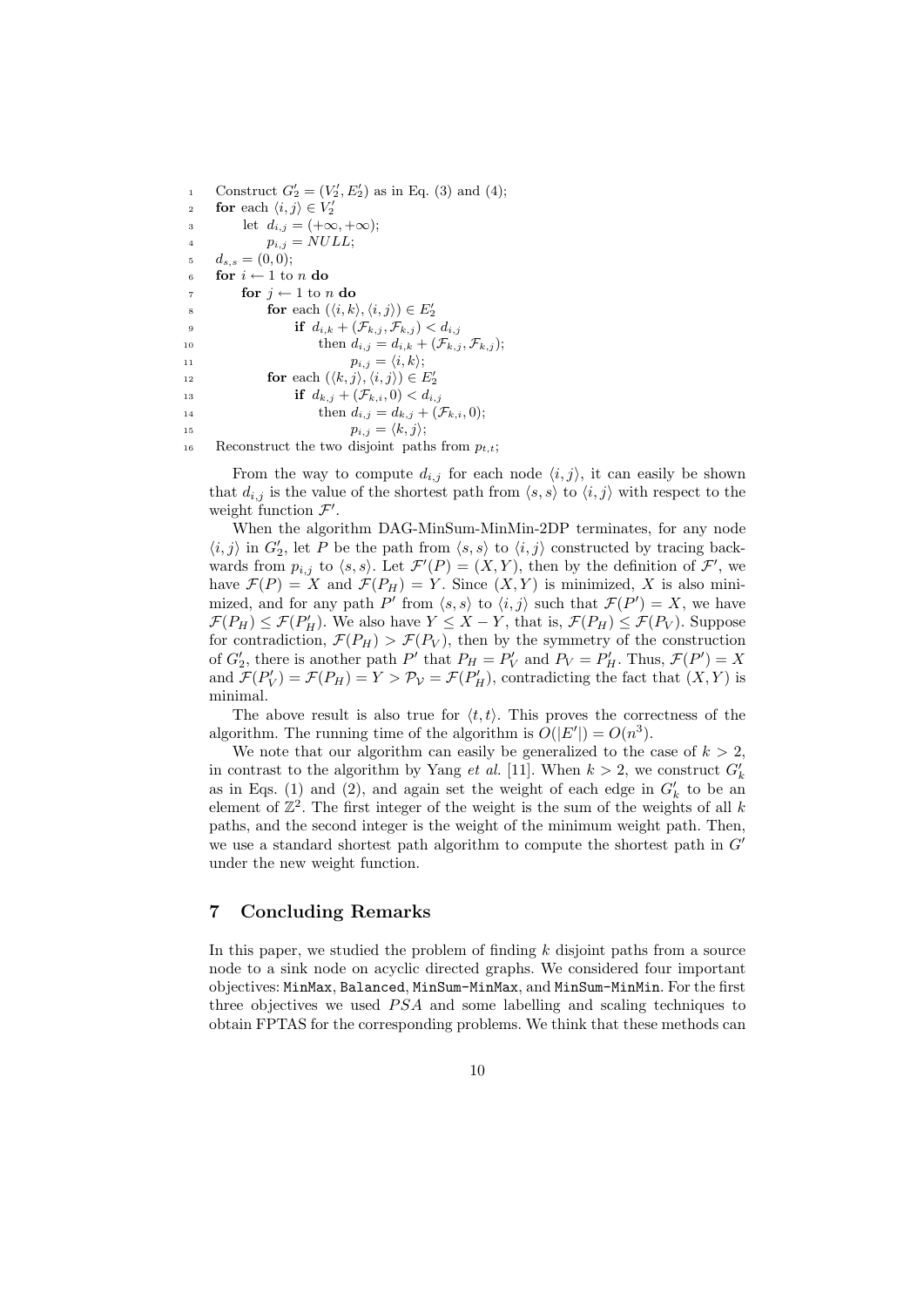1 Construct  $G'_{2} = (V'_{2}, E'_{2})$  as in Eq. (3) and (4); 2 **for** each  $\langle i, j \rangle \in V'_2$ 3 let  $d_{i,j} = (+\infty, +\infty);$ 4  $p_{i,j} = NULL;$ 5  $d_{s,s} = (0,0);$ 6 for  $i \leftarrow 1$  to n do 7 **for**  $j \leftarrow 1$  to n **do** s **for** each  $(\langle i, k \rangle, \langle i, j \rangle) \in E'_2$ 9 **if**  $d_{i,k} + (\mathcal{F}_{k,j}, \mathcal{F}_{k,j}) < d_{i,j}$ 10 then  $d_{i,j} = d_{i,k} + (\mathcal{F}_{k,j}, \mathcal{F}_{k,j});$ 11  $p_{i,j} = \langle i, k \rangle;$ 12 **for** each  $(\langle k, j \rangle, \langle i, j \rangle) \in E'_2$ 13 **if**  $d_{k,j} + (\mathcal{F}_{k,i}, 0) < d_{i,j}$ 14 then  $d_{i,j} = d_{k,j} + (\mathcal{F}_{k,i}, 0);$ 15  $p_{i,j} = \langle k, j \rangle;$ 16 Reconstruct the two disjoint paths from  $p_{t,t}$ ;

From the way to compute  $d_{i,j}$  for each node  $\langle i, j \rangle$ , it can easily be shown that  $d_{i,j}$  is the value of the shortest path from  $\langle s, s \rangle$  to  $\langle i, j \rangle$  with respect to the weight function  $\mathcal{F}'$ .

When the algorithm DAG-MinSum-MinMin-2DP terminates, for any node  $\langle i, j \rangle$  in  $G_2'$ , let P be the path from  $\langle s, s \rangle$  to  $\langle i, j \rangle$  constructed by tracing backwards from  $p_{i,j}$  to  $\langle s, s \rangle$ . Let  $\mathcal{F}'(P) = (X, Y)$ , then by the definition of  $\mathcal{F}'$ , we have  $\mathcal{F}(P) = X$  and  $\mathcal{F}(P_H) = Y$ . Since  $(X, Y)$  is minimized, X is also minimized, and for any path P' from  $\langle s, s \rangle$  to  $\langle i, j \rangle$  such that  $\mathcal{F}(P') = X$ , we have  $\mathcal{F}(P_H) \leq \mathcal{F}(P'_H)$ . We also have  $Y \leq X - Y$ , that is,  $\mathcal{F}(P_H) \leq \mathcal{F}(P_V)$ . Suppose for contradiction,  $\mathcal{F}(P_H) > \mathcal{F}(P_V)$ , then by the symmetry of the construction of  $G'_{2}$ , there is another path P' that  $P_{H} = P'_{V}$  and  $P_{V} = P'_{H}$ . Thus,  $\mathcal{F}(P') = X$ and  $\mathcal{F}(P'_V) = \mathcal{F}(P_H) = Y > P_V = \mathcal{F}(P'_H)$ , contradicting the fact that  $(X, Y)$  is minimal.

The above result is also true for  $\langle t, t \rangle$ . This proves the correctness of the algorithm. The running time of the algorithm is  $O(|E'|) = O(n^3)$ .

We note that our algorithm can easily be generalized to the case of  $k > 2$ , in contrast to the algorithm by Yang *et al.* [11]. When  $k > 2$ , we construct  $G'_{k}$ as in Eqs. (1) and (2), and again set the weight of each edge in  $G'_{k}$  to be an element of  $\mathbb{Z}^2$ . The first integer of the weight is the sum of the weights of all k paths, and the second integer is the weight of the minimum weight path. Then, we use a standard shortest path algorithm to compute the shortest path in  $G<sup>i</sup>$ under the new weight function.

## 7 Concluding Remarks

In this paper, we studied the problem of finding  $k$  disjoint paths from a source node to a sink node on acyclic directed graphs. We considered four important objectives: MinMax, Balanced, MinSum-MinMax, and MinSum-MinMin. For the first three objectives we used  $PSA$  and some labelling and scaling techniques to obtain FPTAS for the corresponding problems. We think that these methods can